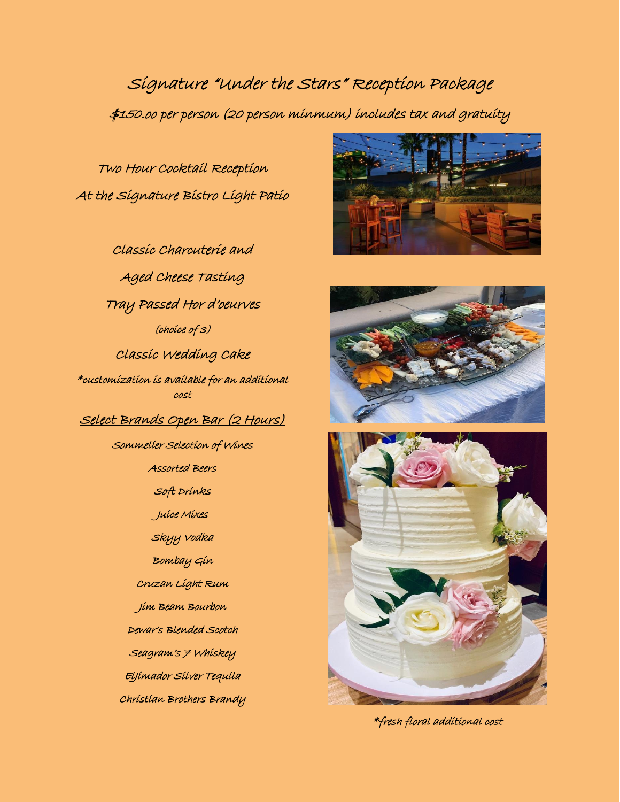Signature "Under the Stars" Reception Package \$150.oo per person (20 person minmum) includes tax and gratuity

Two Hour Cocktail Reception At the Signature Bistro Light Patio

Classic Charcuterie and Aged Cheese Tasting Tray Passed Hor d'oeurves (choice of 3) Classic Wedding Cake \*customization is available for an additional cost Select Brands Open Bar (2 Hours) Sommelier Selection of Wines Assorted Beers Soft Drinks Juice Mixes Skyy Vodka Bombay Gin Cruzan Light Rum Jim Beam Bourbon Dewar's Blended Scotch Seagram's 7 Whiskey ElJimador Silver Tequila Christian Brothers Brandy







\*fresh floral additional cost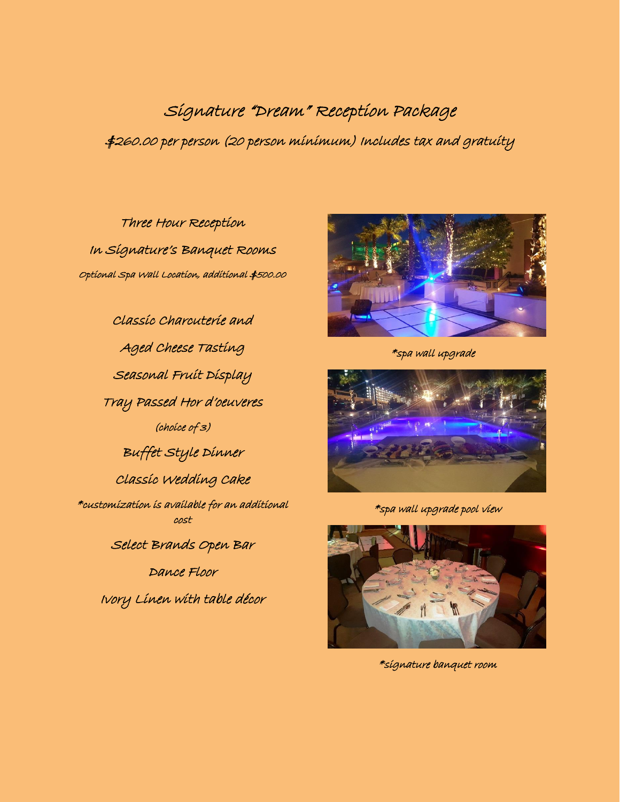Signature "Dream" Reception Package \$260.00 per person (20 person minimum) Includes tax and gratuity

Three Hour Reception In Signature's Banquet Rooms Optional Spa Wall Location, additional \$500.00

Classic Charcuterie and Aged Cheese Tasting Seasonal Fruit Display Tray Passed Hor d'oeuveres (choice of 3) Buffet Style Dinner Classic Wedding Cake \*customization is available for an additional cost Select Brands Open Bar Dance Floor

Ivory Linen with table décor



\*spa wall upgrade



\*spa wall upgrade pool view



\*signature banquet room